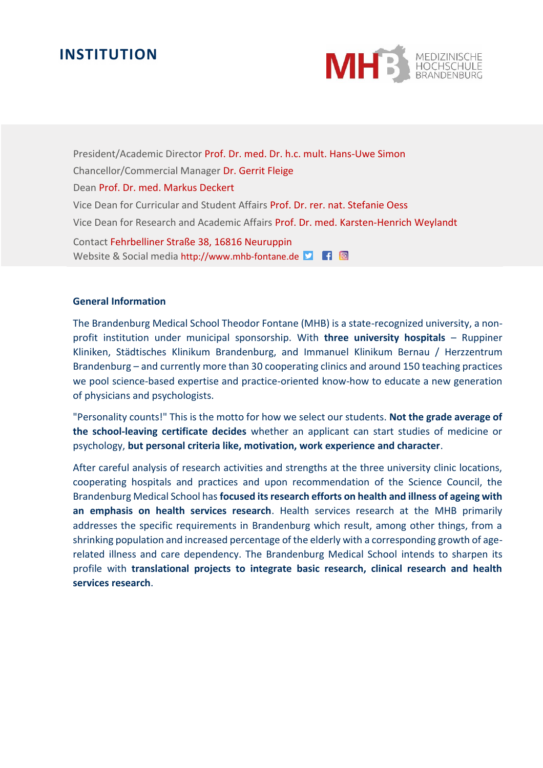# **INSTITUTION**



President/Academic Director Prof. Dr. med. Dr. h.c. mult. Hans-Uwe Simon Chancellor/Commercial Manager Dr. Gerrit Fleige Dean Prof. Dr. med. Markus Deckert Vice Dean for Curricular and Student Affairs Prof. Dr. rer. nat. Stefanie Oess Vice Dean for Research and Academic Affairs Prof. Dr. med. Karsten-Henrich Weylandt

Contact Fehrbelliner Straße 38, 16816 Neuruppin Website & Social media http://www.mhb-fontane.de

#### **General Information**

The Brandenburg Medical School Theodor Fontane (MHB) is a state-recognized university, a nonprofit institution under municipal sponsorship. With **three university hospitals** – Ruppiner Kliniken, Städtisches Klinikum Brandenburg, and Immanuel Klinikum Bernau / Herzzentrum Brandenburg – and currently more than 30 cooperating clinics and around 150 teaching practices we pool science-based expertise and practice-oriented know-how to educate a new generation of physicians and psychologists.

"Personality counts!" This is the motto for how we select our students. **Not the grade average of the school-leaving certificate decides** whether an applicant can start studies of medicine or psychology, **but personal criteria like, motivation, work experience and character**.

After careful analysis of research activities and strengths at the three university clinic locations, cooperating hospitals and practices and upon recommendation of the Science Council, the Brandenburg Medical School has **focused its research efforts on health and illness of ageing with an emphasis on health services research**. Health services research at the MHB primarily addresses the specific requirements in Brandenburg which result, among other things, from a shrinking population and increased percentage of the elderly with a corresponding growth of agerelated illness and care dependency. The Brandenburg Medical School intends to sharpen its profile with **translational projects to integrate basic research, clinical research and health services research**.